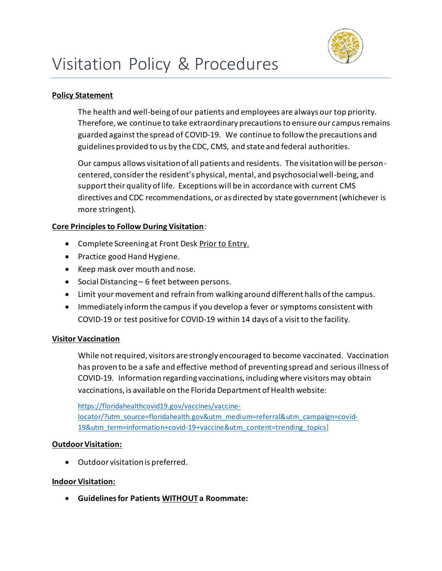

## **Policy Statement**

The health and well-being of our patients and employees are always our top priority. Therefore, we continue to take extraordinary precautions to ensure our campus remains guarded against the spread of COVID-19. We continue to follow the precautions and guidelines provided to us by the CDC, CMS, and state and federal authorities.

Our campus allows visitation of all patients and residents. The visitation will be personcentered, consider the resident's physical, mental, and psychosocial well-being, and support their quality of life. Exceptions will be in accordance with current CMS directives and CDC recommendations, or as directed by state government (whichever is more stringent).

### **Core Principles to Follow During Visitation**:

- Complete Screening at Front Desk Prior to Entry.
- Practice good Hand Hygiene.
- Keep mask over mouth and nose.
- Social Distancing 6 feet between persons.
- Limit your movement and refrain from walking around different halls of the campus.
- Immediately inform the campus if you develop a fever or symptoms consistent with COVID-19 or test positive for COVID-19 within 14 days of a visit to the facility.

# **Visitor Vaccination**

While not required, visitors are strongly encouraged to become vaccinated. Vaccination has proven to be a safe and effective method of preventing spread and serious illness of COVID-19. Information regarding vaccinations, including where visitors may obtain vaccinations, is available on the Florida Department of Health website:

[https://floridahealthcovid19.gov/vaccines/vaccine](https://floridahealthcovid19.gov/vaccines/vaccine-locator/?utm_source=floridahealth.gov&utm_medium=referral&utm_campaign=covid-19&utm_term=information+covid-19+vaccine&utm_content=trending_topics)[locator/?utm\\_source=floridahealth.gov&utm\\_medium=referral&utm\\_campaign=covid-](https://floridahealthcovid19.gov/vaccines/vaccine-locator/?utm_source=floridahealth.gov&utm_medium=referral&utm_campaign=covid-19&utm_term=information+covid-19+vaccine&utm_content=trending_topics)[19&utm\\_term=information+covid-19+vaccine&utm\\_content=trending\\_topics\]](https://floridahealthcovid19.gov/vaccines/vaccine-locator/?utm_source=floridahealth.gov&utm_medium=referral&utm_campaign=covid-19&utm_term=information+covid-19+vaccine&utm_content=trending_topics)

### **Outdoor Visitation:**

• Outdoor visitation is preferred.

### **Indoor Visitation:**

• **Guidelines for Patients WITHOUT a Roommate:**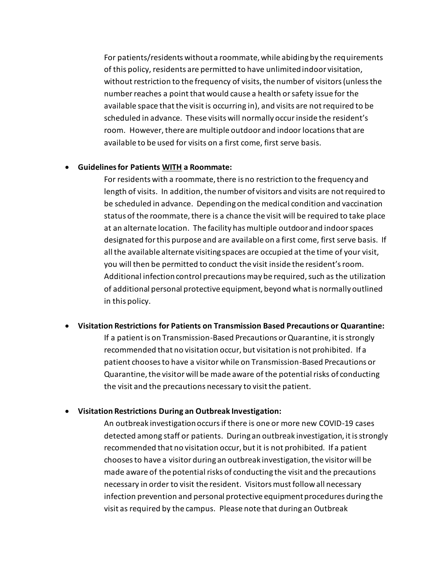For patients/residents without a roommate, while abiding by the requirements of this policy, residents are permitted to have unlimited indoor visitation, without restriction to the frequency of visits, the number of visitors (unless the number reaches a point that would cause a health or safety issue for the available space that the visit is occurring in), and visits are not required to be scheduled in advance. These visits will normally occur inside the resident's room. However, there are multiple outdoor and indoor locationsthat are available to be used for visits on a first come, first serve basis.

#### • **Guidelines for Patients WITH a Roommate:**

For residents with a roommate, there is no restriction to the frequency and length of visits. In addition, the number of visitors and visits are not required to be scheduled in advance. Depending on the medical condition and vaccination status of the roommate, there is a chance the visit will be required to take place at an alternate location. The facility has multiple outdoorand indoor spaces designated for this purpose and are available on a first come, first serve basis. If all the available alternate visiting spaces are occupied at the time of your visit, you will then be permitted to conduct the visit inside the resident's room. Additional infection control precautions may be required, such as the utilization of additional personal protective equipment, beyond what is normally outlined in this policy.

#### • **Visitation Restrictions for Patients on Transmission Based Precautions or Quarantine:**

If a patient is on Transmission-Based Precautions or Quarantine, it is strongly recommended that no visitation occur, but visitation is not prohibited. If a patient chooses to have a visitor while on Transmission-Based Precautions or Quarantine, the visitor will be made aware of the potential risks of conducting the visit and the precautions necessary to visit the patient.

#### • **Visitation Restrictions During an Outbreak Investigation:**

An outbreak investigation occurs if there is one or more new COVID-19 cases detected among staff or patients. During an outbreak investigation, it is strongly recommended that no visitation occur, but it is not prohibited. If a patient chooses to have a visitor during an outbreak investigation, the visitor will be made aware of the potential risks of conducting the visit and the precautions necessary in order to visit the resident. Visitors must follow all necessary infection prevention and personal protective equipment procedures during the visit as required by the campus. Please note that during an Outbreak